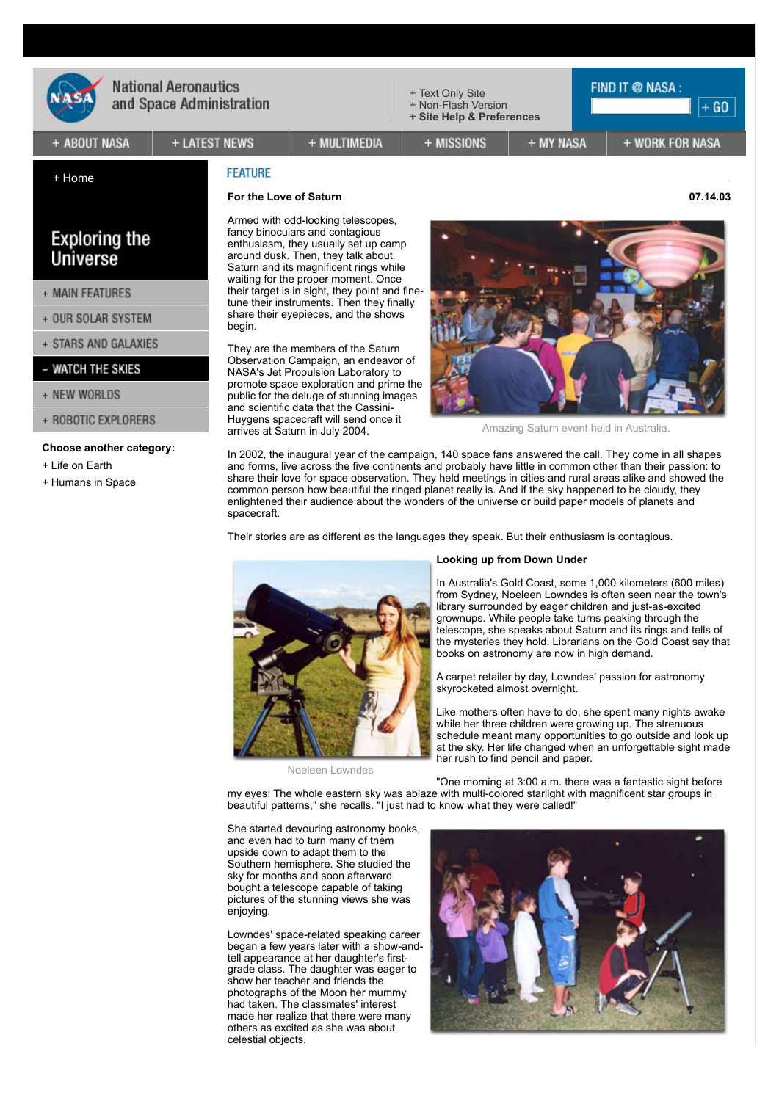

[+ Home](https://www.nasa.gov/home/index.html)

# **National Aeronautics** and Space Administration

[+ Text Only Site](https://www.nasa.gov/lb/vision/universe/watchtheskies/s_o_c_2003.html)

+ MISSIONS

[+ Non-Flash Version](https://www.nasa.gov/vision/universe/watchtheskies/s_o_c_2003.html#) **[+ Site Help & Preferences](https://www.nasa.gov/help/about/index.html)**

+ WORK FOR NASA

**FIND IT @ NASA:** 

## + ABOUT NASA

**Exploring the** Universe

+ MAIN FEATURES

+ OUR SOLAR SYSTEM + STARS AND GALAXIES - WATCH THE SKIES

**Choose another category:**

+ ROBOTIC EXPLORERS

[+ Life on Earth](https://www.nasa.gov/vision/earth/features/index.html) [+ Humans in Space](https://www.nasa.gov/vision/space/features/index.html)

+ NEW WORLDS

+ LATEST NEWS

# **FEATURE**

## **For the Love of Saturn 07.14.03**

Armed with odd-looking telescopes, fancy binoculars and contagious enthusiasm, they usually set up camp around dusk. Then, they talk about Saturn and its magnificent rings while waiting for the proper moment. Once their target is in sight, they point and finetune their instruments. Then they finally share their eyepieces, and the shows begin.

+ MULTIMEDIA

They are the members of the Saturn Observation Campaign, an endeavor of NASA's Jet Propulsion Laboratory to promote space exploration and prime the public for the deluge of stunning images and scientific data that the Cassini-Huygens spacecraft will send once it arrives at Saturn in July 2004.

+ MY NASA

Amazing Saturn event held in Australia.

In 2002, the inaugural year of the campaign, 140 space fans answered the call. They come in all shapes and forms, live across the five continents and probably have little in common other than their passion: to share their love for space observation. They held meetings in cities and rural areas alike and showed the common person how beautiful the ringed planet really is. And if the sky happened to be cloudy, they enlightened their audience about the wonders of the universe or build paper models of planets and spacecraft.

Their stories are as different as the languages they speak. But their enthusiasm is contagious.



Noeleen Lowndes

#### **Looking up from Down Under**

In Australia's Gold Coast, some 1,000 kilometers (600 miles) from Sydney, Noeleen Lowndes is often seen near the town's library surrounded by eager children and just-as-excited grownups. While people take turns peaking through the telescope, she speaks about Saturn and its rings and tells of the mysteries they hold. Librarians on the Gold Coast say that books on astronomy are now in high demand.

A carpet retailer by day, Lowndes' passion for astronomy skyrocketed almost overnight.

Like mothers often have to do, she spent many nights awake while her three children were growing up. The strenuous schedule meant many opportunities to go outside and look up at the sky. Her life changed when an unforgettable sight made her rush to find pencil and paper.

"One morning at 3:00 a.m. there was a fantastic sight before my eyes: The whole eastern sky was ablaze with multi-colored starlight with magnificent star groups in beautiful patterns," she recalls. "I just had to know what they were called!"

She started devouring astronomy books, and even had to turn many of them upside down to adapt them to the Southern hemisphere. She studied the sky for months and soon afterward bought a telescope capable of taking pictures of the stunning views she was enjoying.

Lowndes' space-related speaking career began a few years later with a show-andtell appearance at her daughter's firstgrade class. The daughter was eager to show her teacher and friends the photographs of the Moon her mummy had taken. The classmates' interest made her realize that there were many others as excited as she was about celestial objects.



 $+$  GO  $|$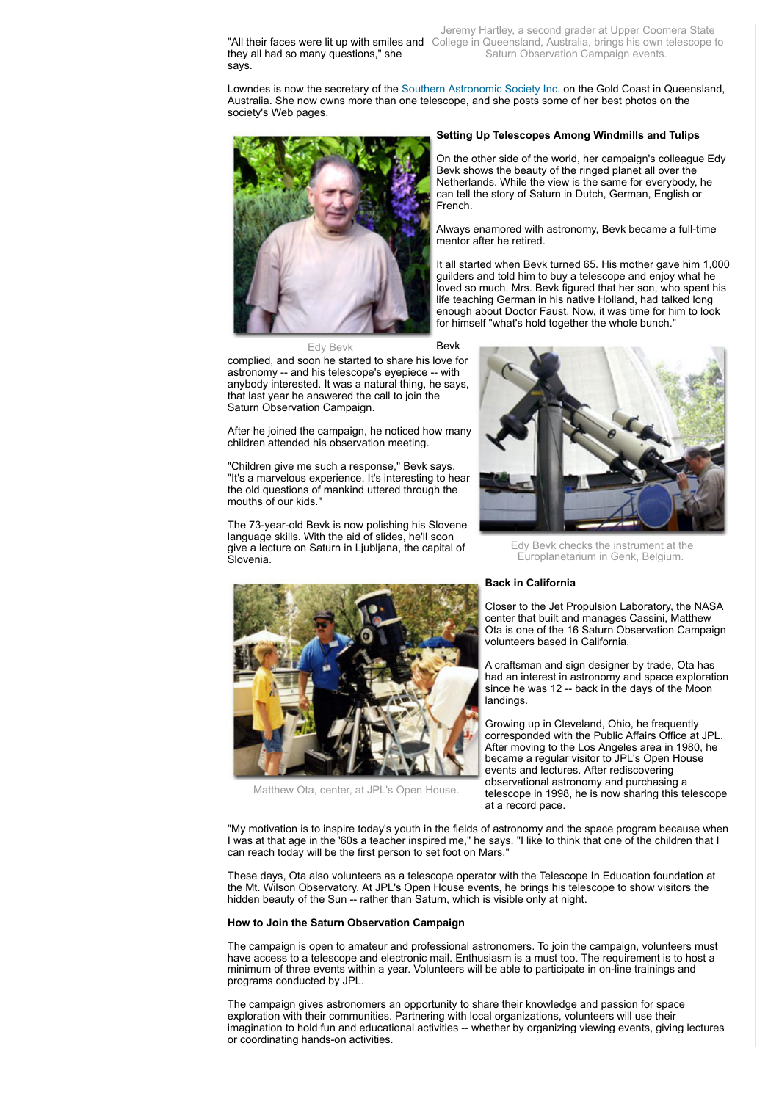they all had so many questions," she says.

Jeremy Hartley, a second grader at Upper Coomera State "All their faces were lit up with smiles and College in Queensland, Australia, brings his own telescope to Saturn Observation Campaign events.

Lowndes is now the secretary of the [Southern Astronomic Society Inc.](javascript:openNASAWindow() on the Gold Coast in Queensland, Australia. She now owns more than one telescope, and she posts some of her best photos on the society's Web pages.



Edy Bevk Bevk complied, and soon he started to share his love for astronomy -- and his telescope's eyepiece -- with anybody interested. It was a natural thing, he says, that last year he answered the call to join the Saturn Observation Campaign.

After he joined the campaign, he noticed how many children attended his observation meeting.

"Children give me such a response," Bevk says. "It's a marvelous experience. It's interesting to hear the old questions of mankind uttered through the mouths of our kids."

The 73-year-old Bevk is now polishing his Slovene language skills. With the aid of slides, he'll soon give a lecture on Saturn in Ljubljana, the capital of Slovenia.



Matthew Ota, center, at JPL's Open House.

# **Setting Up Telescopes Among Windmills and Tulips**

On the other side of the world, her campaign's colleague Edy Bevk shows the beauty of the ringed planet all over the Netherlands. While the view is the same for everybody, he can tell the story of Saturn in Dutch, German, English or French.

Always enamored with astronomy, Bevk became a full-time mentor after he retired.

It all started when Bevk turned 65. His mother gave him 1,000 guilders and told him to buy a telescope and enjoy what he loved so much. Mrs. Bevk figured that her son, who spent his life teaching German in his native Holland, had talked long enough about Doctor Faust. Now, it was time for him to look for himself "what's hold together the whole bunch."



Edy Bevk checks the instrument at the Europlanetarium in Genk, Belgium.

### **Back in California**

Closer to the Jet Propulsion Laboratory, the NASA center that built and manages Cassini, Matthew Ota is one of the 16 Saturn Observation Campaign volunteers based in California.

A craftsman and sign designer by trade, Ota has had an interest in astronomy and space exploration since he was 12 -- back in the days of the Moon landings.

Growing up in Cleveland, Ohio, he frequently corresponded with the Public Affairs Office at JPL. After moving to the Los Angeles area in 1980, he became a regular visitor to JPL's Open House events and lectures. After rediscovering observational astronomy and purchasing a telescope in 1998, he is now sharing this telescope at a record pace.

"My motivation is to inspire today's youth in the fields of astronomy and the space program because when I was at that age in the '60s a teacher inspired me," he says. "I like to think that one of the children that I can reach today will be the first person to set foot on Mars."

These days, Ota also volunteers as a telescope operator with the Telescope In Education foundation at the Mt. Wilson Observatory. At JPL's Open House events, he brings his telescope to show visitors the hidden beauty of the Sun -- rather than Saturn, which is visible only at night.

#### **How to Join the Saturn Observation Campaign**

The campaign is open to amateur and professional astronomers. To join the campaign, volunteers must have access to a telescope and electronic mail. Enthusiasm is a must too. The requirement is to host a minimum of three events within a year. Volunteers will be able to participate in on-line trainings and programs conducted by JPL.

The campaign gives astronomers an opportunity to share their knowledge and passion for space exploration with their communities. Partnering with local organizations, volunteers will use their imagination to hold fun and educational activities -- whether by organizing viewing events, giving lectures or coordinating hands-on activities.